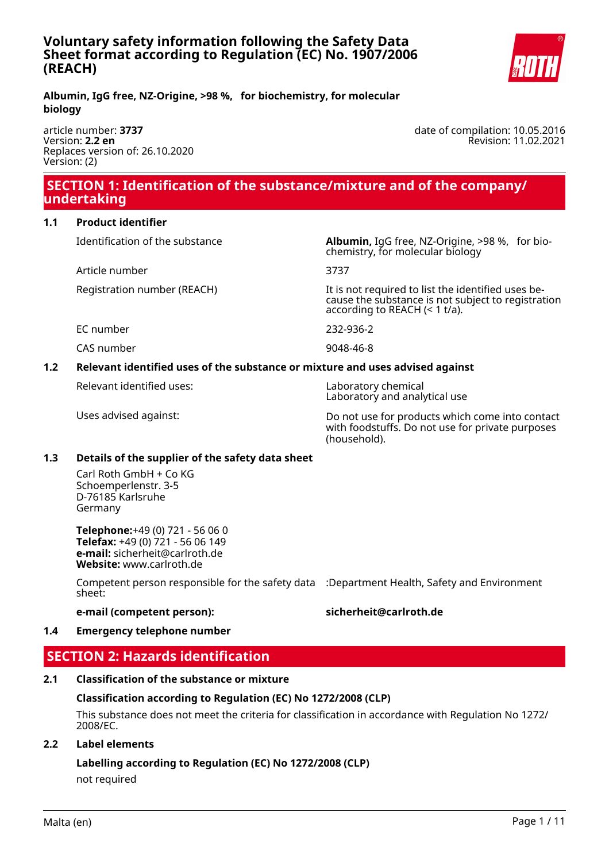

**Albumin, IgG free, NZ-Origine, >98 %, for biochemistry, for molecular biology**

article number: **3737** Version: **2.2 en** Replaces version of: 26.10.2020 Version: (2)

date of compilation: 10.05.2016 Revision: 11.02.2021

# **SECTION 1: Identification of the substance/mixture and of the company/ undertaking**

**1.1 Product identifier**

Article number 3737

Identification of the substance **Albumin,** IgG free, NZ-Origine, >98 %, for biochemistry, for molecular biology

Registration number (REACH) It is not required to list the identified uses because the substance is not subject to registration according to REACH (< 1 t/a).

EC number 232-936-2

CAS number 9048-46-8

### **1.2 Relevant identified uses of the substance or mixture and uses advised against**

Relevant identified uses: Laboratory chemical

Laboratory and analytical use

Uses advised against: Do not use for products which come into contact with foodstuffs. Do not use for private purposes (household).

### **1.3 Details of the supplier of the safety data sheet**

Carl Roth GmbH + Co KG Schoemperlenstr. 3-5 D-76185 Karlsruhe Germany

**Telephone:**+49 (0) 721 - 56 06 0 **Telefax:** +49 (0) 721 - 56 06 149 **e-mail:** sicherheit@carlroth.de **Website:** www.carlroth.de

Competent person responsible for the safety data :Department Health, Safety and Environment sheet:

#### **e-mail (competent person): sicherheit@carlroth.de**

### **1.4 Emergency telephone number**

# **SECTION 2: Hazards identification**

### **2.1 Classification of the substance or mixture**

### **Classification according to Regulation (EC) No 1272/2008 (CLP)**

This substance does not meet the criteria for classification in accordance with Regulation No 1272/ 2008/EC.

### **2.2 Label elements**

# **Labelling according to Regulation (EC) No 1272/2008 (CLP)**

not required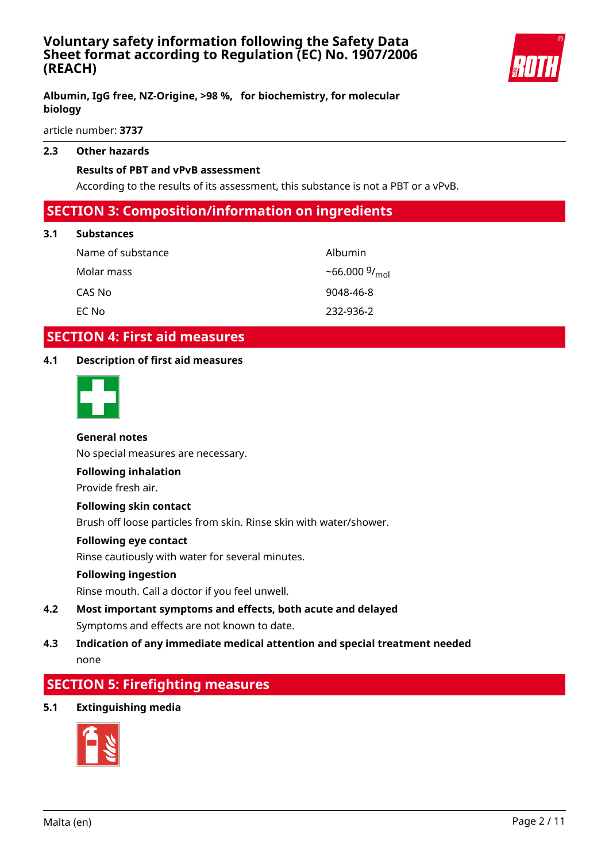

### **Albumin, IgG free, NZ-Origine, >98 %, for biochemistry, for molecular biology**

article number: **3737**

#### **2.3 Other hazards**

#### **Results of PBT and vPvB assessment**

According to the results of its assessment, this substance is not a PBT or a vPvB.

# **SECTION 3: Composition/information on ingredients**

#### **3.1 Substances**

| Name of substance | Albumin                |
|-------------------|------------------------|
| Molar mass        | ~66.000 $9/_{\rm mol}$ |
| CAS No            | 9048-46-8              |
| EC No             | 232-936-2              |

# **SECTION 4: First aid measures**

### **4.1 Description of first aid measures**



#### **General notes**

No special measures are necessary.

#### **Following inhalation**

Provide fresh air.

#### **Following skin contact**

Brush off loose particles from skin. Rinse skin with water/shower.

#### **Following eye contact**

Rinse cautiously with water for several minutes.

#### **Following ingestion**

Rinse mouth. Call a doctor if you feel unwell.

**4.2 Most important symptoms and effects, both acute and delayed** Symptoms and effects are not known to date.

### **4.3 Indication of any immediate medical attention and special treatment needed** none

# **SECTION 5: Firefighting measures**

#### **5.1 Extinguishing media**

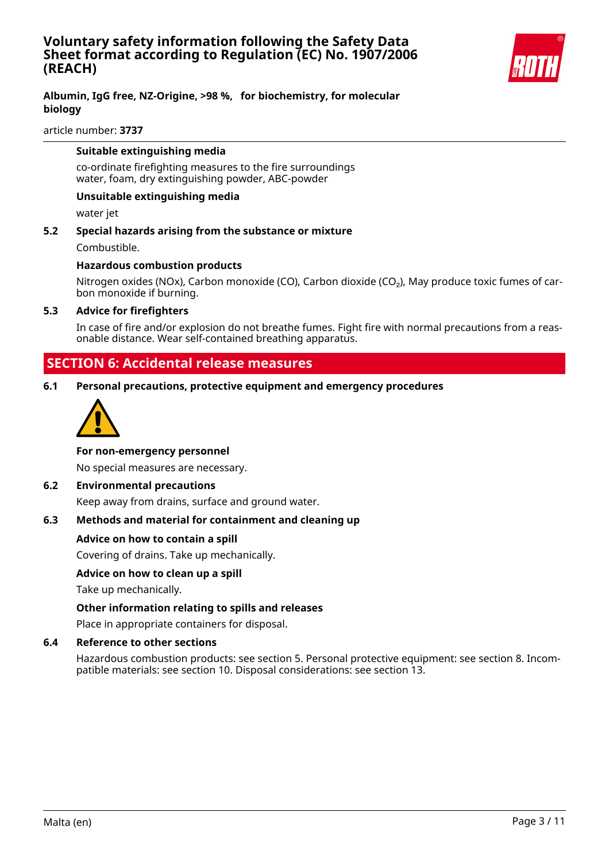

### **Albumin, IgG free, NZ-Origine, >98 %, for biochemistry, for molecular biology**

article number: **3737**

#### **Suitable extinguishing media**

co-ordinate firefighting measures to the fire surroundings water, foam, dry extinguishing powder, ABC-powder

#### **Unsuitable extinguishing media**

water jet

**5.2 Special hazards arising from the substance or mixture** Combustible.

#### **Hazardous combustion products**

Nitrogen oxides (NOx), Carbon monoxide (CO), Carbon dioxide (CO<sub>2</sub>), May produce toxic fumes of carbon monoxide if burning.

#### **5.3 Advice for firefighters**

In case of fire and/or explosion do not breathe fumes. Fight fire with normal precautions from a reasonable distance. Wear self-contained breathing apparatus.

# **SECTION 6: Accidental release measures**

**6.1 Personal precautions, protective equipment and emergency procedures**



#### **For non-emergency personnel**

No special measures are necessary.

#### **6.2 Environmental precautions**

Keep away from drains, surface and ground water.

### **6.3 Methods and material for containment and cleaning up**

#### **Advice on how to contain a spill**

Covering of drains. Take up mechanically.

#### **Advice on how to clean up a spill**

Take up mechanically.

### **Other information relating to spills and releases**

Place in appropriate containers for disposal.

#### **6.4 Reference to other sections**

Hazardous combustion products: see section 5. Personal protective equipment: see section 8. Incompatible materials: see section 10. Disposal considerations: see section 13.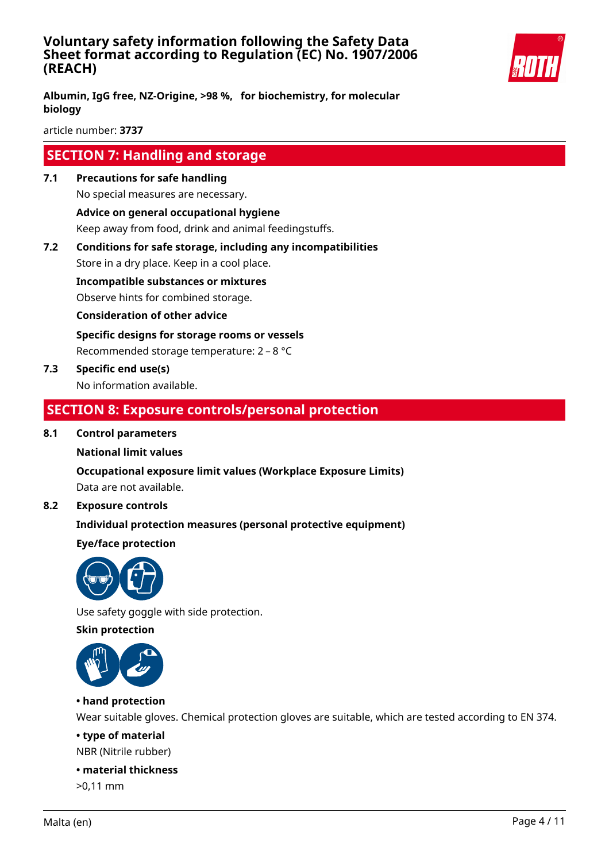

**Albumin, IgG free, NZ-Origine, >98 %, for biochemistry, for molecular biology**

article number: **3737**

# **SECTION 7: Handling and storage**

**7.1 Precautions for safe handling**

No special measures are necessary. **Advice on general occupational hygiene**

Keep away from food, drink and animal feedingstuffs.

**7.2 Conditions for safe storage, including any incompatibilities**

Store in a dry place. Keep in a cool place.

**Incompatible substances or mixtures**

Observe hints for combined storage.

**Consideration of other advice**

**Specific designs for storage rooms or vessels** Recommended storage temperature: 2 – 8 °C

**7.3 Specific end use(s)**

No information available.

# **SECTION 8: Exposure controls/personal protection**

#### **8.1 Control parameters**

### **National limit values**

**Occupational exposure limit values (Workplace Exposure Limits)** Data are not available.

### **8.2 Exposure controls**

### **Individual protection measures (personal protective equipment)**

### **Eye/face protection**



Use safety goggle with side protection.

#### **Skin protection**



### **• hand protection**

Wear suitable gloves. Chemical protection gloves are suitable, which are tested according to EN 374.

# **• type of material**

NBR (Nitrile rubber)

# **• material thickness**

>0,11 mm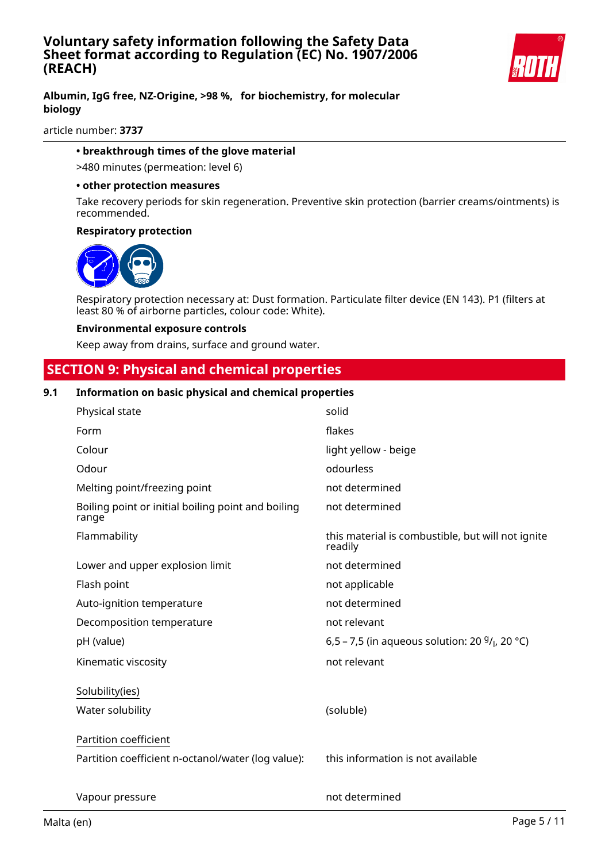

### **Albumin, IgG free, NZ-Origine, >98 %, for biochemistry, for molecular biology**

article number: **3737**

#### **• breakthrough times of the glove material**

>480 minutes (permeation: level 6)

#### **• other protection measures**

Take recovery periods for skin regeneration. Preventive skin protection (barrier creams/ointments) is recommended.

#### **Respiratory protection**



Respiratory protection necessary at: Dust formation. Particulate filter device (EN 143). P1 (filters at least 80 % of airborne particles, colour code: White).

#### **Environmental exposure controls**

Keep away from drains, surface and ground water.

# **SECTION 9: Physical and chemical properties**

#### **9.1 Information on basic physical and chemical properties**

| Physical state                                              | solid                                                         |
|-------------------------------------------------------------|---------------------------------------------------------------|
| Form                                                        | flakes                                                        |
| Colour                                                      | light yellow - beige                                          |
| Odour                                                       | odourless                                                     |
| Melting point/freezing point                                | not determined                                                |
| Boiling point or initial boiling point and boiling<br>range | not determined                                                |
| Flammability                                                | this material is combustible, but will not ignite<br>readily  |
| Lower and upper explosion limit                             | not determined                                                |
| Flash point                                                 | not applicable                                                |
| Auto-ignition temperature                                   | not determined                                                |
| Decomposition temperature                                   | not relevant                                                  |
| pH (value)                                                  | 6,5 – 7,5 (in aqueous solution: 20 $9/$ <sub>l</sub> , 20 °C) |
| Kinematic viscosity                                         | not relevant                                                  |
| Solubility(ies)                                             |                                                               |
| Water solubility                                            | (soluble)                                                     |
| Partition coefficient                                       |                                                               |
| Partition coefficient n-octanol/water (log value):          | this information is not available                             |
| Vapour pressure                                             | not determined                                                |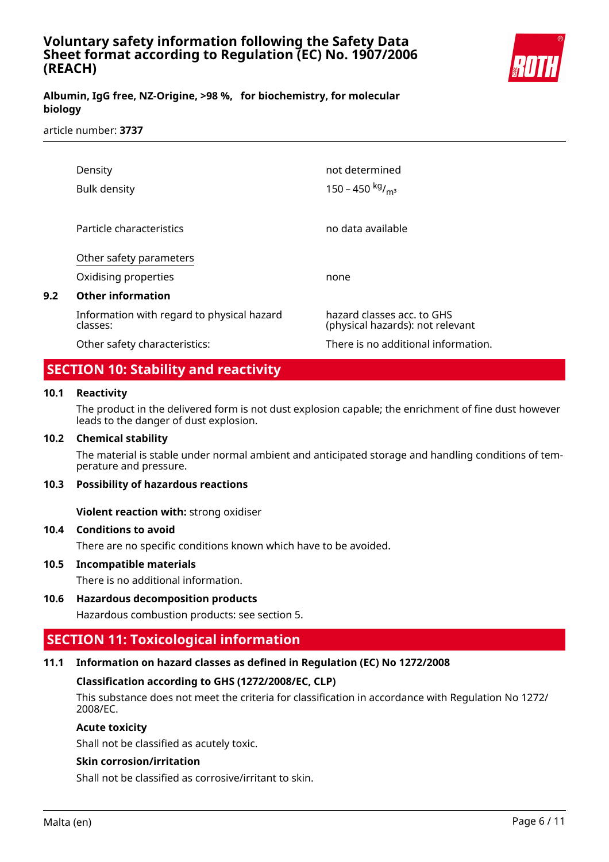

### **Albumin, IgG free, NZ-Origine, >98 %, for biochemistry, for molecular biology**

#### article number: **3737**

| Density<br>Bulk density                                | not determined<br>150 - 450 $kg/m3$                            |
|--------------------------------------------------------|----------------------------------------------------------------|
|                                                        |                                                                |
| Particle characteristics                               | no data available                                              |
| Other safety parameters                                |                                                                |
| Oxidising properties                                   | none                                                           |
| <b>Other information</b>                               |                                                                |
| Information with regard to physical hazard<br>classes: | hazard classes acc. to GHS<br>(physical hazards): not relevant |
| Other safety characteristics:                          | There is no additional information.                            |

# **SECTION 10: Stability and reactivity**

#### **10.1 Reactivity**

**9.2 Other information**

The product in the delivered form is not dust explosion capable; the enrichment of fine dust however leads to the danger of dust explosion.

#### **10.2 Chemical stability**

The material is stable under normal ambient and anticipated storage and handling conditions of temperature and pressure.

#### **10.3 Possibility of hazardous reactions**

**Violent reaction with:** strong oxidiser

#### **10.4 Conditions to avoid**

There are no specific conditions known which have to be avoided.

#### **10.5 Incompatible materials**

There is no additional information.

#### **10.6 Hazardous decomposition products**

Hazardous combustion products: see section 5.

# **SECTION 11: Toxicological information**

#### **11.1 Information on hazard classes as defined in Regulation (EC) No 1272/2008**

#### **Classification according to GHS (1272/2008/EC, CLP)**

This substance does not meet the criteria for classification in accordance with Regulation No 1272/ 2008/EC.

#### **Acute toxicity**

Shall not be classified as acutely toxic.

#### **Skin corrosion/irritation**

Shall not be classified as corrosive/irritant to skin.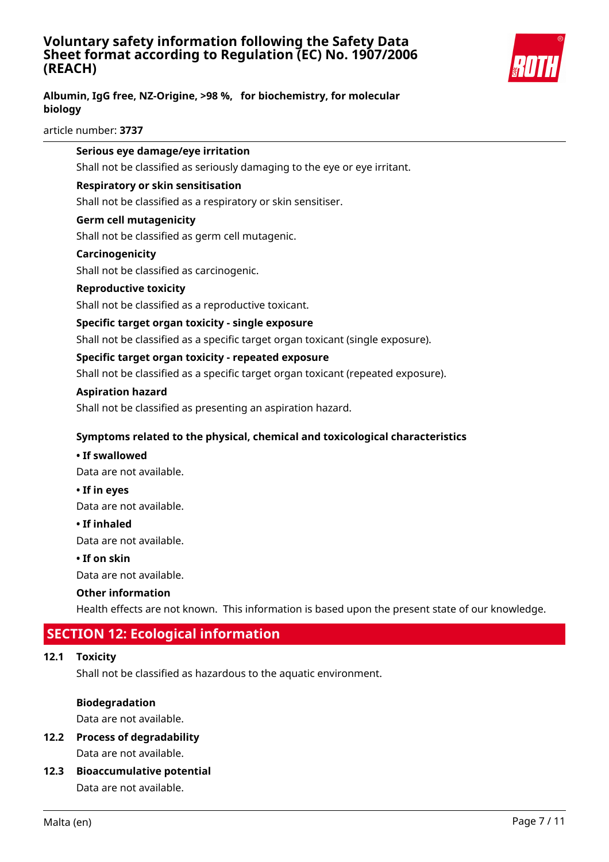

## **Albumin, IgG free, NZ-Origine, >98 %, for biochemistry, for molecular biology**

article number: **3737**

|      | Serious eye damage/eye irritation                                                                |
|------|--------------------------------------------------------------------------------------------------|
|      | Shall not be classified as seriously damaging to the eye or eye irritant.                        |
|      | Respiratory or skin sensitisation                                                                |
|      | Shall not be classified as a respiratory or skin sensitiser.                                     |
|      | <b>Germ cell mutagenicity</b>                                                                    |
|      | Shall not be classified as germ cell mutagenic.                                                  |
|      | Carcinogenicity                                                                                  |
|      | Shall not be classified as carcinogenic.                                                         |
|      | <b>Reproductive toxicity</b>                                                                     |
|      | Shall not be classified as a reproductive toxicant.                                              |
|      | Specific target organ toxicity - single exposure                                                 |
|      | Shall not be classified as a specific target organ toxicant (single exposure).                   |
|      | Specific target organ toxicity - repeated exposure                                               |
|      | Shall not be classified as a specific target organ toxicant (repeated exposure).                 |
|      | <b>Aspiration hazard</b>                                                                         |
|      | Shall not be classified as presenting an aspiration hazard.                                      |
|      | Symptoms related to the physical, chemical and toxicological characteristics                     |
|      | • If swallowed                                                                                   |
|      | Data are not available.                                                                          |
|      | • If in eyes                                                                                     |
|      | Data are not available.                                                                          |
|      | • If inhaled                                                                                     |
|      | Data are not available.                                                                          |
|      | • If on skin                                                                                     |
|      | Data are not available.                                                                          |
|      | <b>Other information</b>                                                                         |
|      | Health effects are not known. This information is based upon the present state of our knowledge. |
|      | <b>SECTION 12: Ecological information</b>                                                        |
| 12.1 | <b>Toxicity</b>                                                                                  |
|      |                                                                                                  |

Shall not be classified as hazardous to the aquatic environment.

### **Biodegradation**

Data are not available.

**12.2 Process of degradability**

Data are not available.

**12.3 Bioaccumulative potential** Data are not available.

 $12.1$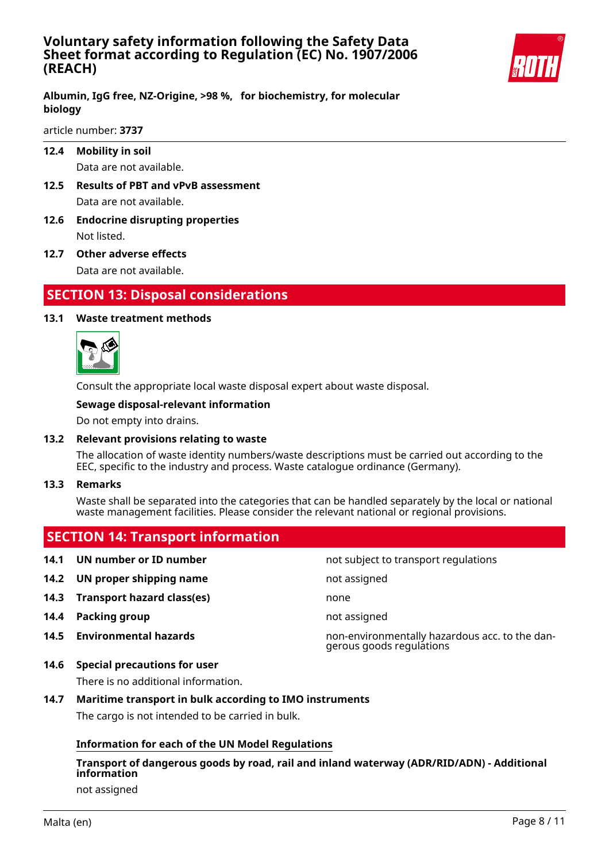

**Albumin, IgG free, NZ-Origine, >98 %, for biochemistry, for molecular biology**

article number: **3737**

**12.4 Mobility in soil**

Data are not available.

- **12.5 Results of PBT and vPvB assessment** Data are not available.
- **12.6 Endocrine disrupting properties** Not listed.
- **12.7 Other adverse effects** Data are not available.

# **SECTION 13: Disposal considerations**

### **13.1 Waste treatment methods**



Consult the appropriate local waste disposal expert about waste disposal.

#### **Sewage disposal-relevant information**

Do not empty into drains.

#### **13.2 Relevant provisions relating to waste**

The allocation of waste identity numbers/waste descriptions must be carried out according to the EEC, specific to the industry and process. Waste catalogue ordinance (Germany).

**13.3 Remarks**

Waste shall be separated into the categories that can be handled separately by the local or national waste management facilities. Please consider the relevant national or regional provisions.

- **SECTION 14: Transport information 14.1 UN number or ID number not subject to transport regulations 14.2 UN proper shipping name** not assigned **14.3 Transport hazard class(es)** none **14.4 Packing group not assigned 14.5 Environmental hazards** non-environmentally hazardous acc. to the dangerous goods regulations
- **14.6 Special precautions for user**

There is no additional information.

**14.7 Maritime transport in bulk according to IMO instruments** The cargo is not intended to be carried in bulk.

### **Information for each of the UN Model Regulations**

**Transport of dangerous goods by road, rail and inland waterway (ADR/RID/ADN) - Additional information**

not assigned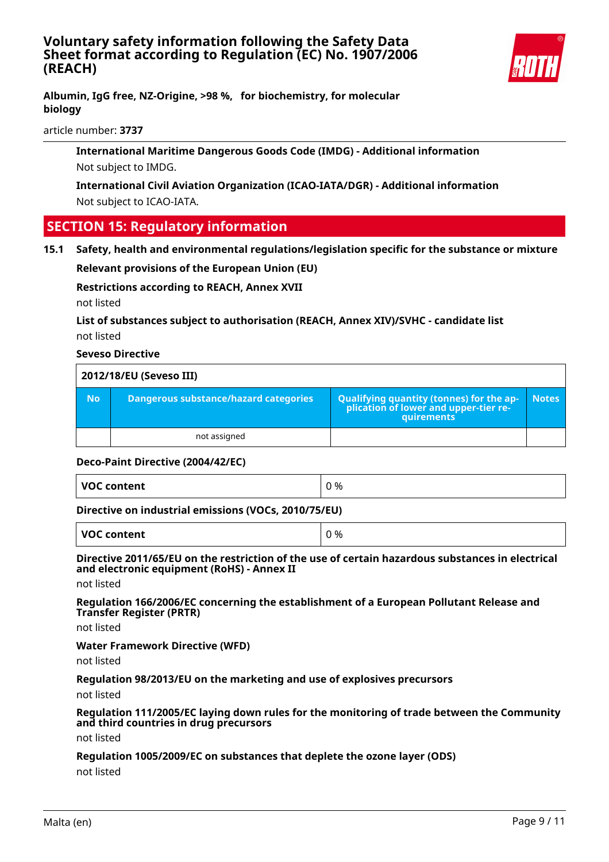

**Albumin, IgG free, NZ-Origine, >98 %, for biochemistry, for molecular biology**

article number: **3737**

**International Maritime Dangerous Goods Code (IMDG) - Additional information** Not subject to IMDG.

**International Civil Aviation Organization (ICAO-IATA/DGR) - Additional information** Not subject to ICAO-IATA.

# **SECTION 15: Regulatory information**

**15.1 Safety, health and environmental regulations/legislation specific for the substance or mixture**

**Relevant provisions of the European Union (EU)**

**Restrictions according to REACH, Annex XVII**

not listed

**List of substances subject to authorisation (REACH, Annex XIV)/SVHC - candidate list** not listed

### **Seveso Directive**

| 2012/18/EU (Seveso III) |                                              |                                                                                            |              |
|-------------------------|----------------------------------------------|--------------------------------------------------------------------------------------------|--------------|
| <b>No</b>               | <b>Dangerous substance/hazard categories</b> | Qualifying quantity (tonnes) for the application of lower and upper-tier re-<br>quirements | <b>Notes</b> |
|                         | not assigned                                 |                                                                                            |              |

#### **Deco-Paint Directive (2004/42/EC)**

| VOC content<br>J % |
|--------------------|
|--------------------|

**Directive on industrial emissions (VOCs, 2010/75/EU)**

**VOC content**  $\begin{array}{ccc} \mid & 0 \leq 0 \end{array}$ 

**Directive 2011/65/EU on the restriction of the use of certain hazardous substances in electrical and electronic equipment (RoHS) - Annex II**

not listed

**Regulation 166/2006/EC concerning the establishment of a European Pollutant Release and Transfer Register (PRTR)**

not listed

**Water Framework Directive (WFD)**

not listed

**Regulation 98/2013/EU on the marketing and use of explosives precursors**

not listed

**Regulation 111/2005/EC laying down rules for the monitoring of trade between the Community and third countries in drug precursors**

not listed

**Regulation 1005/2009/EC on substances that deplete the ozone layer (ODS)**

not listed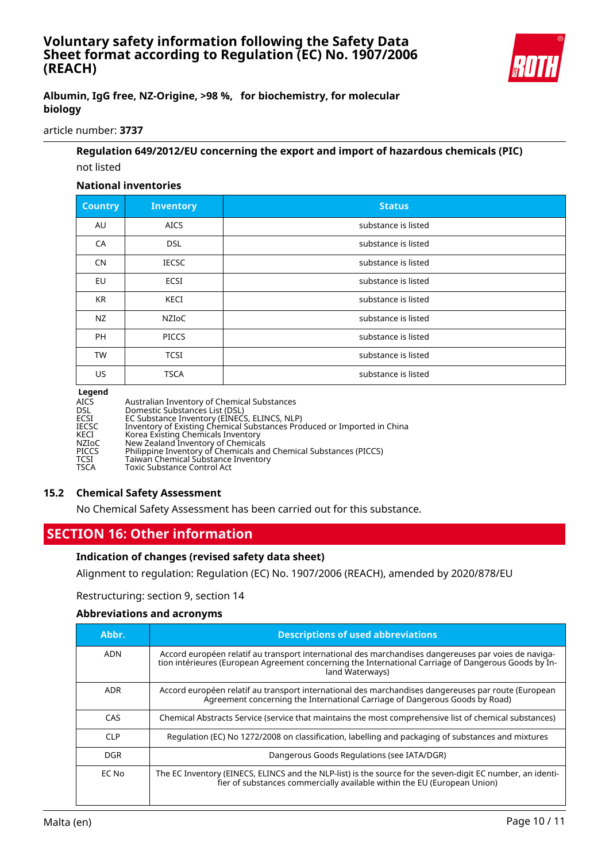

### **Albumin, IgG free, NZ-Origine, >98 %, for biochemistry, for molecular biology**

article number: **3737**

### **Regulation 649/2012/EU concerning the export and import of hazardous chemicals (PIC)** not listed

# **National inventories**

| <b>Country</b> | <b>Inventory</b> | <b>Status</b>       |
|----------------|------------------|---------------------|
| AU             | <b>AICS</b>      | substance is listed |
| CA             | <b>DSL</b>       | substance is listed |
| <b>CN</b>      | <b>IECSC</b>     | substance is listed |
| EU             | <b>ECSI</b>      | substance is listed |
| <b>KR</b>      | KECI             | substance is listed |
| NZ             | NZIoC            | substance is listed |
| <b>PH</b>      | <b>PICCS</b>     | substance is listed |
| <b>TW</b>      | <b>TCSI</b>      | substance is listed |
| US.            | <b>TSCA</b>      | substance is listed |

#### **Legend**

| AICS  | Australian Inventory of Chemical Substances                             |
|-------|-------------------------------------------------------------------------|
| DSL   | Domestic Substances List (DSL)                                          |
| ECSI  | EC Substance Inventory (EINECS, ELINCS, NLP)                            |
| IECSC | Inventory of Existing Chemical Substances Produced or Imported in China |
| KECI  | Korea Existing Chemicals Inventory                                      |
| NZIoC | New Zealand Inventory of Chemicals                                      |
| PICCS | Philippine Inventory of Chemicals and Chemical Substances (PICCS)       |
| TCSI  | Taiwan Chemical Substance Inventory                                     |
| TSCA  | Toxic Substance Control Act                                             |
|       |                                                                         |

#### **15.2 Chemical Safety Assessment**

No Chemical Safety Assessment has been carried out for this substance.

# **SECTION 16: Other information**

#### **Indication of changes (revised safety data sheet)**

Alignment to regulation: Regulation (EC) No. 1907/2006 (REACH), amended by 2020/878/EU

Restructuring: section 9, section 14

#### **Abbreviations and acronyms**

| Abbr.           | <b>Descriptions of used abbreviations</b>                                                                                                                                                                                       |
|-----------------|---------------------------------------------------------------------------------------------------------------------------------------------------------------------------------------------------------------------------------|
| <b>ADN</b>      | Accord européen relatif au transport international des marchandises dangereuses par voies de naviga-<br>tion intérieures (European Agreement concerning the International Carriage of Dangerous Goods by In-<br>land Waterways) |
| <b>ADR</b>      | Accord européen relatif au transport international des marchandises dangereuses par route (European<br>Agreement concerning the International Carriage of Dangerous Goods by Road)                                              |
| CAS             | Chemical Abstracts Service (service that maintains the most comprehensive list of chemical substances)                                                                                                                          |
| CLP <sup></sup> | Requlation (EC) No 1272/2008 on classification, labelling and packaging of substances and mixtures                                                                                                                              |
| <b>DGR</b>      | Dangerous Goods Regulations (see IATA/DGR)                                                                                                                                                                                      |
| EC No           | The EC Inventory (EINECS, ELINCS and the NLP-list) is the source for the seven-digit EC number, an identi-<br>fier of substances commercially available within the EU (European Union)                                          |